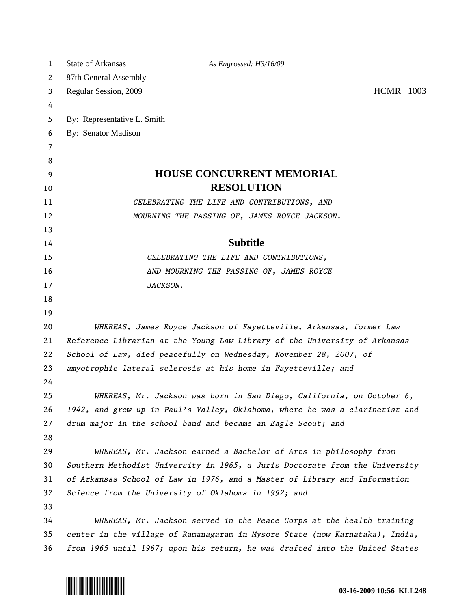| 1  | <b>State of Arkansas</b>    | As Engrossed: H3/16/09                                                       |                  |
|----|-----------------------------|------------------------------------------------------------------------------|------------------|
| 2  | 87th General Assembly       |                                                                              |                  |
| 3  | Regular Session, 2009       |                                                                              | <b>HCMR</b> 1003 |
| 4  |                             |                                                                              |                  |
| 5  | By: Representative L. Smith |                                                                              |                  |
| 6  | By: Senator Madison         |                                                                              |                  |
| 7  |                             |                                                                              |                  |
| 8  |                             |                                                                              |                  |
| 9  |                             | <b>HOUSE CONCURRENT MEMORIAL</b>                                             |                  |
| 10 |                             | <b>RESOLUTION</b>                                                            |                  |
| 11 |                             | CELEBRATING THE LIFE AND CONTRIBUTIONS, AND                                  |                  |
| 12 |                             | MOURNING THE PASSING OF, JAMES ROYCE JACKSON.                                |                  |
| 13 |                             |                                                                              |                  |
| 14 |                             | <b>Subtitle</b>                                                              |                  |
| 15 |                             | CELEBRATING THE LIFE AND CONTRIBUTIONS,                                      |                  |
| 16 |                             | AND MOURNING THE PASSING OF, JAMES ROYCE                                     |                  |
| 17 |                             | JACKSON.                                                                     |                  |
| 18 |                             |                                                                              |                  |
| 19 |                             |                                                                              |                  |
| 20 |                             | WHEREAS, James Royce Jackson of Fayetteville, Arkansas, former Law           |                  |
| 21 |                             | Reference Librarian at the Young Law Library of the University of Arkansas   |                  |
| 22 |                             | School of Law, died peacefully on Wednesday, November 28, 2007, of           |                  |
| 23 |                             | amyotrophic lateral sclerosis at his home in Fayetteville; and               |                  |
| 24 |                             |                                                                              |                  |
| 25 |                             | WHEREAS, Mr. Jackson was born in San Diego, California, on October 6,        |                  |
| 26 |                             | 1942, and grew up in Paul's Valley, Oklahoma, where he was a clarinetist and |                  |
| 27 |                             | drum major in the school band and became an Eagle Scout; and                 |                  |
| 28 |                             |                                                                              |                  |
| 29 |                             | WHEREAS, Mr. Jackson earned a Bachelor of Arts in philosophy from            |                  |
| 30 |                             | Southern Methodist University in 1965, a Juris Doctorate from the University |                  |
| 31 |                             | of Arkansas School of Law in 1976, and a Master of Library and Information   |                  |
| 32 |                             | Science from the University of Oklahoma in 1992; and                         |                  |
| 33 |                             |                                                                              |                  |
| 34 |                             | WHEREAS, Mr. Jackson served in the Peace Corps at the health training        |                  |
| 35 |                             | center in the village of Ramanagaram in Mysore State (now Karnataka), India, |                  |
| 36 |                             | from 1965 until 1967; upon his return, he was drafted into the United States |                  |

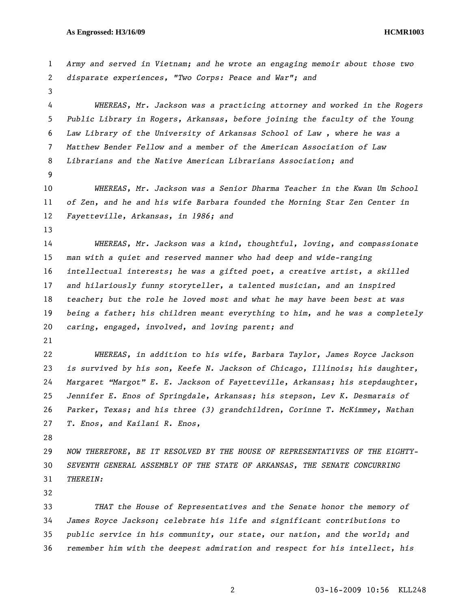## **As Engrossed: H3/16/09 HCMR1003**

| 1  | Army and served in Vietnam; and he wrote an engaging memoir about those two   |  |  |  |  |  |
|----|-------------------------------------------------------------------------------|--|--|--|--|--|
| 2  | disparate experiences, "Two Corps: Peace and War"; and                        |  |  |  |  |  |
| 3  |                                                                               |  |  |  |  |  |
| 4  | WHEREAS, Mr. Jackson was a practicing attorney and worked in the Rogers       |  |  |  |  |  |
| 5  | Public Library in Rogers, Arkansas, before joining the faculty of the Young   |  |  |  |  |  |
| 6  | Law Library of the University of Arkansas School of Law, where he was a       |  |  |  |  |  |
| 7  | Matthew Bender Fellow and a member of the American Association of Law         |  |  |  |  |  |
| 8  | Librarians and the Native American Librarians Association; and                |  |  |  |  |  |
| 9  |                                                                               |  |  |  |  |  |
| 10 | WHEREAS, Mr. Jackson was a Senior Dharma Teacher in the Kwan Um School        |  |  |  |  |  |
| 11 | of Zen, and he and his wife Barbara founded the Morning Star Zen Center in    |  |  |  |  |  |
| 12 | Fayetteville, Arkansas, in 1986; and                                          |  |  |  |  |  |
| 13 |                                                                               |  |  |  |  |  |
| 14 | WHEREAS, Mr. Jackson was a kind, thoughtful, loving, and compassionate        |  |  |  |  |  |
| 15 | man with a quiet and reserved manner who had deep and wide-ranging            |  |  |  |  |  |
| 16 | intellectual interests; he was a gifted poet, a creative artist, a skilled    |  |  |  |  |  |
| 17 | and hilariously funny storyteller, a talented musician, and an inspired       |  |  |  |  |  |
| 18 | teacher; but the role he loved most and what he may have been best at was     |  |  |  |  |  |
| 19 | being a father; his children meant everything to him, and he was a completely |  |  |  |  |  |
| 20 | caring, engaged, involved, and loving parent; and                             |  |  |  |  |  |
| 21 |                                                                               |  |  |  |  |  |
| 22 | WHEREAS, in addition to his wife, Barbara Taylor, James Royce Jackson         |  |  |  |  |  |
| 23 | is survived by his son, Keefe N. Jackson of Chicago, Illinois; his daughter,  |  |  |  |  |  |
| 24 | Margaret "Margot" E. E. Jackson of Fayetteville, Arkansas; his stepdaughter,  |  |  |  |  |  |
| 25 | Jennifer E. Enos of Springdale, Arkansas; his stepson, Lev K. Desmarais of    |  |  |  |  |  |
| 26 | Parker, Texas; and his three (3) grandchildren, Corinne T. McKimmey, Nathan   |  |  |  |  |  |
| 27 | T. Enos, and Kailani R. Enos,                                                 |  |  |  |  |  |
| 28 |                                                                               |  |  |  |  |  |
| 29 | NOW THEREFORE, BE IT RESOLVED BY THE HOUSE OF REPRESENTATIVES OF THE EIGHTY-  |  |  |  |  |  |
| 30 | SEVENTH GENERAL ASSEMBLY OF THE STATE OF ARKANSAS, THE SENATE CONCURRING      |  |  |  |  |  |
| 31 | THEREIN:                                                                      |  |  |  |  |  |
| 32 |                                                                               |  |  |  |  |  |
| 33 | THAT the House of Representatives and the Senate honor the memory of          |  |  |  |  |  |
| 34 | James Royce Jackson; celebrate his life and significant contributions to      |  |  |  |  |  |
| 35 | public service in his community, our state, our nation, and the world; and    |  |  |  |  |  |
| 36 | remember him with the deepest admiration and respect for his intellect, his   |  |  |  |  |  |